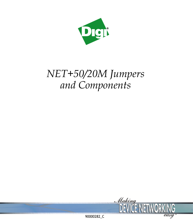

# *NET+50/20M Jumpers and Components*

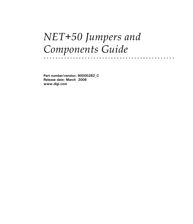# *NET+50 Jumpers and Components Guide*

**Part number/version: 90000282\_C Release date: March 2006 www.digi.com**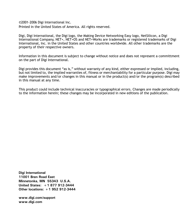©2001-2006 Digi International Inc. Printed in the United States of America. All rights reserved.

Digi, Digi International, the Digi logo, the Making Device Networking Easy logo, NetSilicon, a Digi International Company, NET+, NET+OS and NET+Works are trademarks or registered trademarks of Digi International, Inc. in the United States and other countries worldwide. All other trademarks are the property of their respective owners.

Information in this document is subject to change without notice and does not represent a committment on the part of Digi International.

Digi provides this document "as is," without warranty of any kind, either expressed or implied, including, but not limited to, the implied warranties of, fitness or merchantability for a particular purpose. Digi may make improvements and/or changes in this manual or in the product(s) and/or the program(s) described in this manual at any time.

This product could include technical inaccuracies or typographical errors. Changes are made periodically to the information herein; these changes may be incorporated in new editions of the publication.

**Digi International 11001 Bren Road East Minnetonka, MN 55343 U.S.A. United States: +1 877 912-3444 Other locations: +1 952 912-3444**

**www.digi.com/support www.digi.com**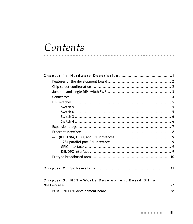# Contents

 $\mathbf{r}$  , and  $\mathbf{r}$ 

| Chapter 3: NET + Works Development Board Bill of |
|--------------------------------------------------|
|                                                  |
|                                                  |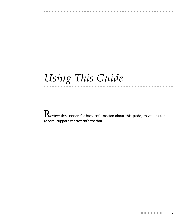# Q Q Q Q Q Q Q Q Q Q Q Q Q Q Q Q Q Q Q Q Q Q Q Q Q Q Q Q Q Q Q Q Q Q Q Q Q Q Q Q Q Q Q Q Q Q *Using This Guide*

 $\mathbf R$ eview this section for basic information about this guide, as well as for general support contact information.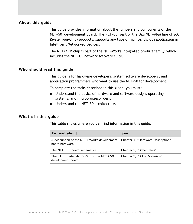### **About this guide**

This guide provides information about the jumpers and components of the NET+50 development board. The NET+50, part of the Digi NET+ARM line of SoC (System-on-Chip) products, supports any type of high bandwidth application in Intelligent Networked Devices.

The NET+ARM chip is part of the NET+Works integrated product family, which includes the NET+OS network software suite.

#### **Who should read this guide**

This guide is for hardware developers, system software developers, and application programmers who want to use the NET+50 for development.

To complete the tasks described in this guide, you must:

- **Understand the basics of hardware and software design, operating** systems, and microprocessor design.
- Understand the NET+50 architecture.

#### **What's in this guide**

This table shows where you can find information in this guide:

| To read about                                                                                    | See                            |
|--------------------------------------------------------------------------------------------------|--------------------------------|
| A description of the NET + Works development Chapter 1, "Hardware Description"<br>board hardware |                                |
| The $NET + 50$ board schematics                                                                  | Chapter 2, "Schematics"        |
| The bill of materials (BOM) for the $NET + 50$<br>development board                              | Chapter 3, "Bill of Materials" |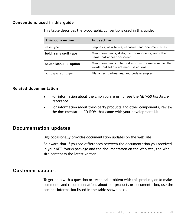### **Conventions used in this guide**

This table describes the typographic conventions used in this guide:

| This convention                  | Is used for                                                                                   |
|----------------------------------|-----------------------------------------------------------------------------------------------|
| <i>italic</i> type               | Emphasis, new terms, variables, and document titles.                                          |
| bold, sans serif type            | Menu commands, dialog box components, and other<br>items that appear on-screen.               |
| Select Menu $\rightarrow$ option | Menu commands. The first word is the menu name; the<br>words that follow are menu selections. |
| monospaced type                  | Filenames, pathnames, and code examples.                                                      |

#### **Related documentation**

- For information about the chip you are using, see the *NET+50 Hardware Reference*.
- **For information about third-party products and other components, review** the documentation CD-ROM that came with your development kit.

### **Documentation updates**

Digi occasionally provides documentation updates on the Web site.

Be aware that if you see differences between the documentation you received in your NET+Works package and the documentation on the Web site, the Web site content is the latest version.

### **Customer support**

To get help with a question or technical problem with this product, or to make comments and recommendations about our products or documentation, use the contact information listed in the table shown next.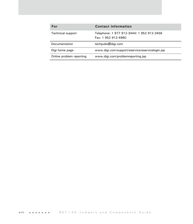| For                      | <b>Contact information</b>                                       |
|--------------------------|------------------------------------------------------------------|
| Technical support        | Telephone: 1 877 912-3444/ 1 952 912-3456<br>Fax: 1 952 912-4960 |
| Documentation            | techpubs@digi.com                                                |
| Digi home page           | www.digi.com/support/eservice/eservicelogin.jsp                  |
| Online problem reporting | www.digi.com/problemreporting.jsp                                |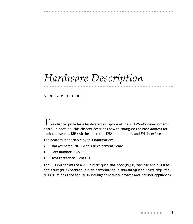# <span id="page-10-0"></span>*Hardware Description*

**CHAPTER 1**

 $\Gamma$  his chapter provides a hardware description of the NET+Works development board. In addition, this chapter describes how to configure the base address for each chip select, DIP switches, and the 1284 parallel port and ENI interfaces.

Q Q Q Q Q Q Q Q Q Q Q Q Q Q Q Q Q Q Q Q Q Q Q Q Q Q Q Q Q Q Q Q Q Q Q Q Q Q Q Q Q Q Q Q Q Q

The board is identifiable by this information:

- **Market name.** NET+Works Development Board
- **Part number.** 6127030
- **Test reference.** S2NCCTP

The NET+50 consists of a 208 plastic-quad-flat-pack (PQFP) package and a 208 ballgrid-array (BGA) package. A high-performance, highly-integrated 32-bit chip, the NET+50 is designed for use in intelligent network devices and Internet appliances.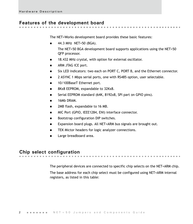## <span id="page-11-0"></span>**Features of the development board**

<span id="page-11-14"></span>The NET+Works development board provides these basic features:

44.3 MHz NET+50 (BGA).

<span id="page-11-5"></span>The NET+50 BGA development board supports applications using the NET+50 QFP processor.

<span id="page-11-9"></span>. . . . . . . .

<span id="page-11-13"></span><span id="page-11-10"></span>. . . . . . . .

- <span id="page-11-11"></span>18.432 MHz crystal, with option for external oscillator.
- **ARM JTAG ICE port.**
- <span id="page-11-12"></span><span id="page-11-2"></span>**Six LED indicators: two each on PORT C, PORT B, and the Ethernet connector.**
- <span id="page-11-8"></span>**2 ASYNC 1 Mbps serial ports, one with RS485 option, user selectable.**
- 10/100BaseT Ethernet port.
- <span id="page-11-7"></span>8Kx8 EEPROM, expandable to 32Kx8.
- Serial EEPROM standard (64K, 8192x8, SPI part on GPIO pins).
- <span id="page-11-6"></span>16Mb DRAM.
- 2MB flash, expandable to 16 MB.
- MIC Port (GPIO, IEEE1284, ENI) interface connector.
- Bootstrap configuration DIP switches.
- Expansion board plugs. All NET+ARM bus signals are brought out.
- TEK Mictor headers for logic analyzer connections.
- Large breadboard area.

## <span id="page-11-3"></span><span id="page-11-1"></span>**Chip select configuration**

The peripheral devices are connected to specific chip selects on the NET+ARM chip.

<span id="page-11-4"></span> $\mathbf{B}$  and  $\mathbf{B}$ 

The base address for each chip select must be configured using NET+ARM internal registers, as listed in this table: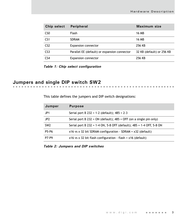| Chip select     | Peripheral                                   | Maximum size              |
|-----------------|----------------------------------------------|---------------------------|
| C <sub>SO</sub> | <b>Flash</b>                                 | 16 MB                     |
| CS <sub>1</sub> | <b>SDRAM</b>                                 | 16 MB                     |
| CS <sub>2</sub> | <b>Expansion connector</b>                   | 256 KB                    |
| CS <sub>3</sub> | Parallel EE (default) or expansion connector | 32 KB (default) or 256 KB |
| CS <sub>4</sub> | <b>Expansion connector</b>                   | 256 KB                    |

*Table 1: Chip select configuration*

# <span id="page-12-0"></span>**Jumpers and single DIP switch SW2**

<span id="page-12-1"></span>This table defines the jumpers and DIP switch designations:

| Jumper          | <b>Purpose</b>                                                       |
|-----------------|----------------------------------------------------------------------|
| JP <sub>1</sub> | Serial port B 232 = 1-2 (default); $485 = 2-3$                       |
| JP <sub>2</sub> | Serial port B 232 = ON (default); $485$ = OFF (on a single pin only) |
| SW <sub>2</sub> | Serial port B 232 = 1-4 ON, 5-8 OFF (default); 485 = 1-4 OFF, 5-8 ON |
| P5-P6           | $x16$ vs x 32 bit SDRAM configuration - SDRAM = $x32$ (default)      |
| P7-P9           | $x16$ vs x 32 bit flash configuration - flash = $x16$ (default)      |

*Table 2: Jumpers and DIP switches*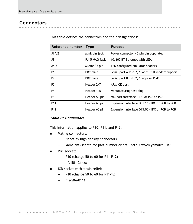**Contract Contract** 

 $\mathbf{m}$  ,  $\mathbf{m}$ 

<span id="page-13-1"></span> $\sim$  $\sim$ 

#### <span id="page-13-0"></span>**Connectors** . . . . . . . .

| Reference number | <b>Type</b>   | <b>Purpose</b>                                  |
|------------------|---------------|-------------------------------------------------|
| .11/.12          | Mini/din jack | Power connector - 5 pin din populated           |
| J3               | RJ45 MAG-jack | 10/100 BT Ethernet with LEDs                    |
| $J4-8$           | Mictor 38 pin | TEK configured emulator headers                 |
| P <sub>1</sub>   | DB9 male      | Serial port A RS232, 1 Mbps, full modem support |
| P <sub>2</sub>   | DB9 male      | Serial port B RS232, 1 Mbps or RS485            |
| P <sub>3</sub>   | Header 2x7    | ARM ICE port                                    |
| P4               | Header 1x6    | Manufacturing test plug                         |
| P <sub>10</sub>  | Header 50 pin | MIC port interface - IDC or PCB to PCB          |
| P <sub>11</sub>  | Header 60 pin | Expansion interface D31:16 - IDC or PCB to PCB  |
| P <sub>12</sub>  | Header 60 pin | Expansion interface D15:00 - IDC or PCB to PCB  |

 $\sim$ 

. . . . . . . . . . . . . . . . .

This table defines the connectors and their designations:

#### *Table 3: Connectors*

This information applies to P10, P11, and P12:

- **Mating connectors:** 
	- Nanoflex high density connectors
	- Yamaichi (search for part number or nfs); http://www.yamaichi.us/
- **PBC** socket:
	- P10 (change 50 to 60 for P11-P12)
	- $-$  nfs-50-1314xx
- **ICD** socket with strain relief:
	- P10 (change 50 to 60 for P11-12
	- nfs-50A-0111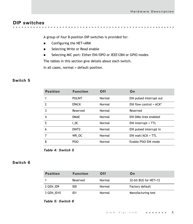# <span id="page-14-0"></span>**DIP switches**

. . . . . . . . . . . . . . . . . . . . . . . . . . . . . . . . . . . . . . **All All Angeles CONTRACTOR**  $\mathbf{m} \cdot \mathbf{m}$  .  $\sim$ 

<span id="page-14-4"></span>A group of four 8-position DIP switches is provided for:

- <span id="page-14-3"></span>■ Configuring the NET+ARM
- <span id="page-14-5"></span>**Selecting Write or Read enable**
- Selecting MIC port: Either ENI/DPO or IEEE1284 or GPIO modes

The tables in this section give details about each switch.

In all cases, normal = default position.

#### <span id="page-14-1"></span>**Switch 5**

| <b>Position</b>          | <b>Function</b>   | Off    | On                         |
|--------------------------|-------------------|--------|----------------------------|
| 1                        | <b>PULINT</b>     | Normal | ENI pulsed interrupt out   |
| $\overline{\phantom{a}}$ | <b>EPACK</b>      | Normal | ENI flow control = $ACK^*$ |
| 3                        | Reserved          | Normal | Reserved                   |
| 4                        | <b>DMAE</b>       | Normal | ENI DMA lines enabled      |
| 5                        | 10C               | Normal | $ENI$ interrupt = $TTL$    |
| 6                        | DINT <sub>2</sub> | Normal | ENI pulsed interrupt in    |
| 7                        | WR OC             | Normal | ENI wait/ACK = $TTL$       |
| 8                        | <b>PSIO</b>       | Normal | Enable PSIO ENI mode       |

*Table 4: Switch 5*

### <span id="page-14-2"></span>**Switch 6**

| <b>Position</b> | <b>Function</b> | Off    | On                    |
|-----------------|-----------------|--------|-----------------------|
|                 | Reserved        | Normal | 32-bit BUS for NET+12 |
| 2 GEN ID9       | IDO.            | Normal | Factory default       |
| 3 GEN ID10      | ID1             | Normal | Manufacturing test    |

#### *Table 5: Switch 6*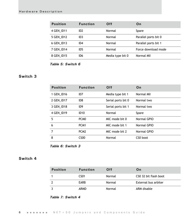| <b>Position</b> | <b>Function</b> | Off              | On                   |
|-----------------|-----------------|------------------|----------------------|
| 4 GEN ID11      | ID <sub>2</sub> | Normal           | Spare                |
| 5 GEN ID12      | ID <sub>3</sub> | Normal           | Parallel ports bit 0 |
| 6 GEN ID13      | ID <sub>4</sub> | Normal           | Parallel ports bit 1 |
| 7 GEN ID14      | ID5             | Normal           | Force download mode  |
| 8 GEN ID15      | ID6             | Media type bit 0 | Normal MII           |

*Table 5: Switch 6*

## <span id="page-15-0"></span>**Switch 3**

| <b>Position</b> | <b>Function</b>   | Off                | On          |
|-----------------|-------------------|--------------------|-------------|
| 1 GEN ID16      | ID7               | Media type bit 1   | Normal MII  |
| 2 GEN ID17      | ID <sub>8</sub>   | Serial ports bit 0 | Normal two  |
| 3 GEN ID18      | ID <sub>9</sub>   | Serial ports bit 1 | Normal two  |
| 4 GEN ID19      | <b>ID10</b>       | Normal             | Spare       |
| 5               | PC <sub>M</sub> 0 | MIC mode bit 0     | Normal GPIO |
| 6               | PCM <sub>1</sub>  | MIC mode bit 1     | Normal GPIO |
| $\overline{7}$  | PC <sub>M2</sub>  | MIC mode bit 2     | Normal GPIO |
| 8               | CS <sub>00</sub>  | Normal             | CS0 boot    |

*Table 6: Switch 3*

### <span id="page-15-1"></span>**Switch 4**

| <b>Position</b> | <b>Function</b>  | <b>Off</b> | On                    |
|-----------------|------------------|------------|-----------------------|
|                 | CS <sub>01</sub> | Normal     | CSO 32 bit flash boot |
|                 | EARB             | Normal     | External bus arbiter  |
|                 | ARMD             | Normal     | ARM disable           |

*Table 7: Switch 4*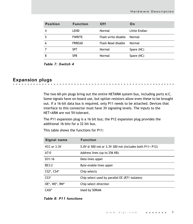| <b>Position</b> | <b>Function</b> | 0ff                 | On            |
|-----------------|-----------------|---------------------|---------------|
|                 | LEND            | Normal              | Little Endian |
| 5               | <b>FWRITE</b>   | Flash write disable | Normal        |
| 6               | <b>FRREAD</b>   | Flash Read disable  | Normal        |
|                 | SP <sub>7</sub> | Normal              | Spare (NC)    |
| 8               | SP8             | Normal              | Spare (NC)    |

*Table 7: Switch 4*

# <span id="page-16-0"></span>**Expansion plugs**

The two 60-pin plugs bring out the entire NETARM system bus, including ports A:C. Some signals have on-board use, but option resistors allow even these to be brought out. If a 16-bit data bus is required, only P11 needs to be attached. Devices that interface to this connector must have 3V signaling levels. The inputs to the NET+ARM are not 5V-tolerant.

The P11 expansion plug is a 16 bit bus; the P12 expansion plug provides the additional 16 bits for a 32 bit bus.

This table shows the functions for P11:

| Signal name   | <b>Function</b>                                       |
|---------------|-------------------------------------------------------|
| VCC or 3.3V   | 5.0V @ 500 mA or 3.3V 300 mA (includes both P11+ P12) |
| A7:0          | Address lines (up to 256 KB)                          |
| D31:16        | Data lines upper                                      |
| BE3:2         | Byte enable lines upper                               |
| CS2*, CS4*    | Chip selects                                          |
| $CS3*$        | Chip select used by parallel EE (R71 isolates)        |
| OE*, WE*, RW* | Chip select direction                                 |
| $CASI^*$      | Used by SDRAM                                         |

*Table 8: P11 functions*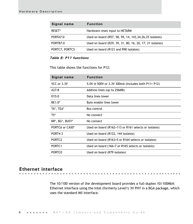| Signal name    | <b>Function</b>                                           |
|----------------|-----------------------------------------------------------|
| RESET*         | Hardware reset input to NETARM                            |
| PORTA7:0       | Used on board (R57, 58, 59, 14, 143, 34, 26, 25 isolates) |
| PORTB7:0       | Used on board (R29, 39, 31, 80, 16, 20, 17, 21 isolates)  |
| PORTC7, PORTC5 | Used on board (R121 and R90 isolates)                     |

#### *Table 8: P11 functions*

This table shows the functions for P12:

| Signal name        | <b>Function</b>                                      |
|--------------------|------------------------------------------------------|
| VCC or 3.3V        | 5.0V @ 500V or 3.3V 300mA (includes both P11+ P12)   |
| A27:8              | Address lines (up to 256MB)                          |
| D15:0              | Data lines lower                                     |
| BE1:0*             | Byte enable lines lower                              |
| TA*, TEA*          | <b>Bus control</b>                                   |
| TS*                | No connect                                           |
| BR*, BG*, BUSY*    | No connect                                           |
| PORTC6 or CAS0*    | Used on board (R162+113 or R161 selects or isolates) |
| PORT4:3            | Used on board (R122, 144 isolates)                   |
| PORTC <sub>2</sub> | Used on board (R163+5 or R164 selects or isolates)   |
| PORTC <sub>1</sub> | Used on board (166+7 or R165 selects or isolates)    |
| PORTC <sub>0</sub> | Used on board (R79 isolates)                         |

# <span id="page-17-0"></span>**Ethernet interface**

. . . . . . . .

<span id="page-17-1"></span>The 10/100 version of the development board provides a full-duplex 10/100Mbit Ethernet interface using the Intel (formerly Level1) 3V PHY in a BGA package, which uses the standard MII interface.

■ ■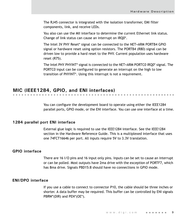The RJ45 connector is integrated with the isolation transformer, EMI filter components, link, and receive LEDs.

You also can use the MII interface to determine the current Ethernet link status. Change of link status can cause an interrupt on IRQ0\*.

The Intel 3V PHY Reset\* signal can be connected to the NET+ARM PORTB4 GPIO signal or hardware reset using option resistors. The PORTB4 (R80) signal can be driven low to provide a hard reset to the PHY. Current population uses hardware reset (R75).

The Intel PHY PHYINT\* signal is connected to the NET+ARM PORTC0 IRQ0\* signal. The PORTC0 input can be configured to generate an interrupt on the high to low transition of PHYINT\*. Using this interrupt is not a requirement.

## <span id="page-18-0"></span>**MIC (IEEE1284, GPIO, and ENI interfaces)**

You can configure the development board to operate using either the IEEE1284 parallel ports, GPIO mode, or the ENI interface. You can use one interface at a time.

#### <span id="page-18-1"></span>**1284 parallel port ENI interface**

External glue logic is required to use the IEEE1284 interface. See the IEEE1284 section in the Hardware Reference Guide. This is a multiplexed interface that uses one 74FCT16646 per port. All inputs require 5V to 3.3V translation.

#### <span id="page-18-2"></span>**GPIO interface**

There are 16 I/O pins and 16 input only pins. Inputs can be set to cause an interrupt or can be polled. Most outputs have 2ma drive with the exception of PORTF7, which has 8ma drive. Signals PBD15:8 should have no connections in GPIO mode.

#### <span id="page-18-3"></span>**ENI/DPO interface**

If you use a cable to connect to connector P10, the cable should be three inches or shorter. A data buffer may be required. This buffer can be controlled by ENI signals PBRW\*(DIR) and PEN\*(OE\*).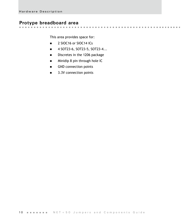# <span id="page-19-0"></span>**Protype breadboard area**

**CONTRACTOR** 

This area provides space for:

- 2 SIOC16 or SIOC14 ICs
- 4 SOT23-6, SOT23-5, SOT23-4...
- Discretes in the 1206 package
- **Minidip 8 pin through hole IC**
- GND connection points
- 3.3V connection points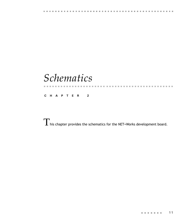# <span id="page-20-0"></span>*Schematics*

**CHAPTER 2**

 $\Gamma$  his chapter provides the schematics for the NET+Works development board.

Q Q Q Q Q Q Q Q Q Q Q Q Q Q Q Q Q Q Q Q Q Q Q Q Q Q Q Q Q Q Q Q Q Q Q Q Q Q Q Q Q Q Q Q Q Q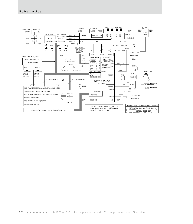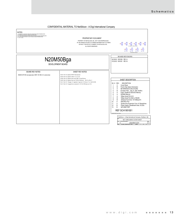#### CONFIDENTIAL MATERIAL TO NetSilicon - A Digi International Company

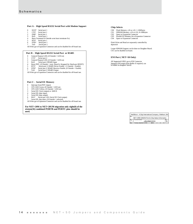#### **Port A - High Speed RS232 Serial Port with Modem Support**

- 0 DCD\* Serial port 1
- 1 CTS\* Serial port 1
- 2  $DSR*$  Serial port 1<br>3  $RxD$  Serial port 1 RxD Serial port 1
- 4 Burst Terminate (0 Outside arms burst terminate fix) 5 RTS\* Serial port 1 6 DTR\* Serial port 1 7 TxD Serial port 1
- 
- 
- 

All 8 bits go to Expansion Connector and can be disabled for off-board use.

#### **Port B - High Speed RS232 Serial Port or RS485**

- 0 General Purpose LED, (0 Outside = LED on)
- 1 CTS\* Serial port 2<br>2 General Purpose LED.
- 
- 2 General Purpose LED, (0 Outside = LED on)<br>3 RxD Serial port 2/RS485 Input
- 4 Reset PHY, (0 Outside = reset. Board is Strapped for Hardware RESET)
- 5 RTS\* Serial port 2/ RS485 Driver Enable, (1 Outside = Enable)<br>6 DTR\* Serial port 2/ RS485 Receiver Enable, (0 Outside = Enable)<br>7 TxD Serial port 2/ RS485 Output<br>All 8 bits go to Expansion Connector and can be disabled
- 
- 
- 

#### **Port C - Serial EE Memory**

- 0 Interrupt from PHY (input)
- 1 CPU LED Green, (0 Outside = LED on) 2 CPU LED Yellow, (0 Outside = LED on)
- 
- 3 Serial EE Clock (output) or AMUX<br>4 Serial EE (data input)
- Serial EE (data input)
- 5 Serial EE (data output)
- 6 RIA\* Serial port 1(Or Serial EE Clock output) 7 Serial EE chip select, (0 Outside = selected)
- All 8 bits go to Expansion Connector and can be disabled for off-board use.

**For NET+20M to NET+20UM migration only eight(8) of the sixteen(16) combined PORTB and PORTC pins should be used.**

#### **Chip Selects**

- CS0 Flash Memory, x16 or x32, 1-16Mbytes CS1 SDRAM Memory, x16 or x32, 8-16Mbytes
- 
- CS2 Spare to Expansion Connector
- CS3 Parallel EE Memory & to Expansion Connector
- CS4 Spare to Expansion Connector

Flash Write and Read are separately controlled by dipswitch

Larger SDRAM Support can be done on Daughter Board. CS1 can be disabled on board.

#### **ENI Port ( NET+50 Only)**

Supports ENI mode (Data Buffer if required, can be added on daughter board) All Supported GPIO's go to ENI Connector

|       | NetSilicon - A Digi International Company, Waltham, MA |  |
|-------|--------------------------------------------------------|--|
| Title | NET+ARM 20M/50 Port & Chip Select Information          |  |
| р     | Document Number<br>n20m50b02.SCH                       |  |
|       | September 05, 2002<br>Steet                            |  |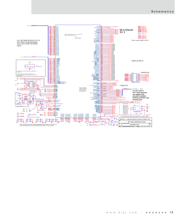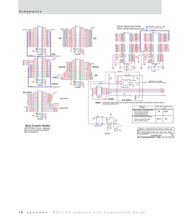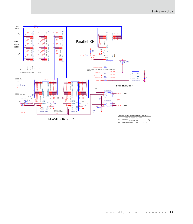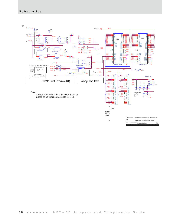

| NET+ARM 20M/50 SDram Memory |               |  |  |  |
|-----------------------------|---------------|--|--|--|
|                             | n20m50b06.SCH |  |  |  |
|                             |               |  |  |  |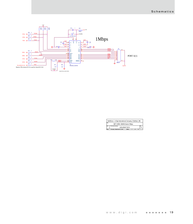

|      | NetSilicon - A Digi International Company, Waltham, MA |  |
|------|--------------------------------------------------------|--|
| 'ele | NET+ARM 20M/50 Serial 1Mbos                            |  |
|      | <b>Document Number</b><br>n20m50b07 SCH                |  |
|      | Thursday, September 05, 2002<br><b>Shawn</b>           |  |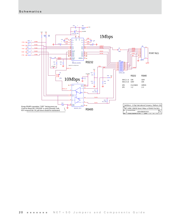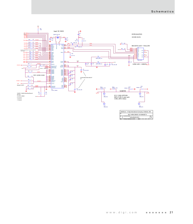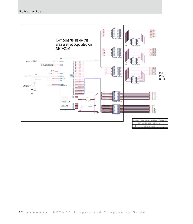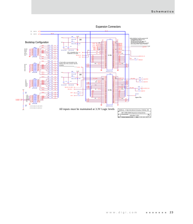

Expansion Connectors

Thursday, September 05, 2002 12 heat 11 of 13

Date: Thursday, September 05, 2002 Bheet 11 of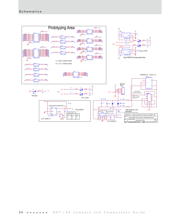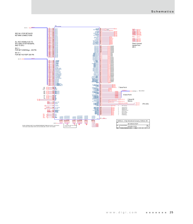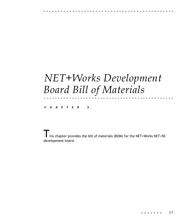# <span id="page-36-0"></span>*NET+Works Development Board Bill of Materials*

Q Q Q Q Q Q Q Q Q Q Q Q Q Q Q Q Q Q Q Q Q Q Q Q Q Q Q Q Q Q Q Q Q Q Q Q Q Q Q Q Q Q Q Q Q Q

**CHAPTER 3**

This chapter provides the bill of materials (BOM) for the NET+Works NET+50 development board.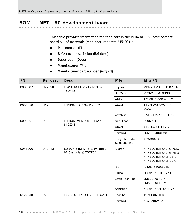# <span id="page-37-0"></span>**BOM — NET+50 development board**

This table provides information for each part in the PCBA NET+50 development board bill of materials (manufactured item 6151001):

. . . . . . . . . . . . . . . .

 $\sim$  10  $\pm$ 

- **Part number (PN)**
- Reference description (Ref desc)
- **Description (Desc)**
- **Manufacturer (Mfg)**
- **Manufacturer part number (Mfg PN)**

| PN      | Ref desc                                           | <b>Desc</b>                                         | Mfg                                  | Mfg PN                                                                                 |
|---------|----------------------------------------------------|-----------------------------------------------------|--------------------------------------|----------------------------------------------------------------------------------------|
| 0005907 | U27, 28<br><b>FLASH ROM 512KX16 3.3V</b><br>TSOP48 |                                                     | Fujitsu                              | MBM29LV800BA90PFTN                                                                     |
|         |                                                    |                                                     | <b>ST Micro</b>                      | M29W800AB90NS                                                                          |
|         |                                                    | <b>AMD</b>                                          | AM29LV800BB-90EC                     |                                                                                        |
| 0006950 | U12                                                | EEPROM 8K 3.3V PLCC32                               | Atmel                                | AT28LV64B-25J OR<br>20JC                                                               |
|         |                                                    |                                                     | Catalyst                             | CAT28LV64N-3OTE13                                                                      |
| 0006961 | U15                                                | EEPROM MEMORY SPI 64K<br>8192X8                     | NetSilicon                           | 0006961                                                                                |
|         |                                                    |                                                     | Atmel                                | AT25640-10PI-2.7                                                                       |
|         |                                                    |                                                     | Fairchild                            | <b>FM25C640ULM8</b>                                                                    |
|         |                                                    |                                                     | Integrated Silicon<br>Solutions, Inc | IS25C64-3G                                                                             |
| 0041906 | U10, 13                                            | SDRAM 64M X 16 3.3V (tRFC<br>67.5ns or less) TSOP54 | Micron                               | MT48LC4M16A2TG-75:G<br>MT48LC4M16A2TG-7E:G<br>MT48LC4M16A2P-75:G<br>MT48LC4M16A2P-7E:G |
|         |                                                    |                                                     | <b>ISSI</b>                          | IS42S16400B-7TL                                                                        |
|         |                                                    |                                                     | Elpida                               | EDS6416AHTA-75-E                                                                       |
|         |                                                    |                                                     | Etron Tech, Inc.                     | EM638165TS-7<br>EM638165TS-7G                                                          |
|         |                                                    |                                                     | Samsung                              | K4S641632H-UC(L)75                                                                     |
| 0122938 | U22                                                | IC 2INPUT EX-OR SINGLE GATE                         | Toshiba                              | TC7SH86FTE85L                                                                          |
|         |                                                    |                                                     | Fairchild                            | NC7SZ86M5X                                                                             |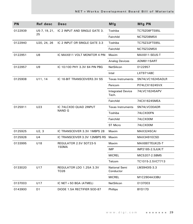| <b>PN</b> | Ref desc       | Desc                             | Mfg                               | Mfg PN            |
|-----------|----------------|----------------------------------|-----------------------------------|-------------------|
| 0122939   | U5-7, 19, 21,  | IC 2 INPUT AND SINGLE GATE 3.    | Toshiba                           | TC7SZ08FTE85L     |
|           | 25             |                                  | Fairchild                         | NC7SZ08M5X        |
| 0122940   | U20, 24, 26    | IC 2 INPUT OR SINGLE GATE 3.3    | Toshiba                           | TC7SZ32FTE85L     |
|           |                |                                  | Fairchild                         | NC7SZ32M5X        |
| 0122951   | U8             | IC MAX811 VOLT MONITOR 4 PIN     | Maxim                             | MAX811-SEUS-T     |
|           |                |                                  | <b>Analog Devices</b>             | ADM811SART        |
| 0122957   | U9             | IC 10/100 PHY 3.3V 64 PIN PBG    | NetSilicon                        | 0122957           |
|           |                |                                  | Intel                             | LXT971ABC         |
| 0125908   | U11, 14        | IC 16-BIT TRANSCEIVER3.3V SS     | <b>Texas Instruments</b>          | SN74LVC16245ADLR  |
|           |                |                                  | Pericom                           | PI74LCX16245VX    |
|           |                |                                  | <b>Integrated Device</b><br>Tech. | 74LVC16245APV     |
|           |                |                                  | Fairchild                         | 74CX16245MEA      |
| 0125911   | U23            | IC 74LCX00 QUAD 2INPUT<br>NAND G | <b>Texas Instruments</b>          | SN74LVC00ADR      |
|           |                |                                  | Toshiba                           | 74LCX00FN         |
|           |                |                                  | Fairchild                         | 74LCX00M          |
|           |                |                                  | <b>ST Micro</b>                   | 74LCX00M          |
| 0125925   | U2, 3          | IC TRANSCEIVER 3.3V 1MBPS 28     | Maxim                             | <b>MAX3245CAI</b> |
| 0125926   | U <sub>4</sub> | IC TRANSCEIVER 3.3V 12MBPS RS    | Maxim                             | MAX3491ECSD       |
| 0133995   | U18            | REGULATOR 2.5V SOT23-5<br>150MA  | Maxim                             | MAX8877EUK25-T    |
|           |                |                                  | <b>IMP</b>                        | IMP2185-2.5JUK/T  |
|           |                |                                  | <b>MICREL</b>                     | MIC5207-2.5BM5    |
|           |                |                                  | Telcom                            | TC1015-2.5VCT713  |
| 0133020   | U17            | REGULATOR LDO 1.25A 3.3V<br>TO26 | National Semi<br>Conductor        | LM3940IS-3.3      |
|           |                |                                  | <b>MICREL</b>                     | M1C2904A33BU      |
| 0137003   | U17            | IC NET + 50 BGA (ATMEL)          | NetSilicon                        | 0137003           |
| 0143900   | D1             | DIODE 1.5A RECTIFIER SOD-87      | Phillips                          | BYD17D            |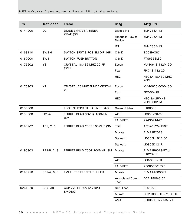| PN            | Ref desc                   | Desc                             | Mfg                       | Mfg PN                              |
|---------------|----------------------------|----------------------------------|---------------------------|-------------------------------------|
| 0144900       | D <sub>2</sub>             | DIODE ZM4735A ZENER<br>ZM-41(SM) | Diodes Inc                | ZM4735A-13                          |
|               |                            |                                  | American Power<br>Device  | ZM4735A-13                          |
|               |                            |                                  | <b>ITT</b>                | ZM4735A-13                          |
| 0163110       | SW2-6                      | SWITCH SPST 8 POS SM DIP 16PI    | C & K                     | TD08H0SK1                           |
| 0167000       | SW1                        | SWITCH PUSH BUTTON               | C & K                     | PTS635SL50                          |
| 0175902       | Y3                         | CRYSTAL 18.432 MHZ 20 PF         | Epson                     | MA40618.432M-GO                     |
|               |                            | (SMT                             | Fox                       | FPX-18.432-20                       |
|               |                            | <b>HEC</b>                       | HEC3A-18.432-MHZ-<br>20PF |                                     |
| 0175903<br>Y1 | CRYSTAL 25 MHZ FUNDAMENTAL | Epson                            | MA40625.000M-GO           |                                     |
|               |                            | 20                               | Fox                       | FPX-SM-25                           |
|               |                            |                                  | <b>HEC</b>                | HEC-3A-25MHZ-<br>20PF500PPM         |
| 0186000       |                            | FOOT NETSPRINT CABINET BASE      | Green Rubber              | 0186000                             |
| 0190900       | FB1-4                      | FERRITE BEAD 90Z @ 100MHZ        | <b>ACT</b>                | FB863226-Y7                         |
|               |                            | (SM                              | <b>FAIR-RITE</b>          | 2743021447                          |
| 0190902       | TB1, 2, 6                  | FERRITE BEAD 200Z 100MHZ (SM     | TDK                       | ACB2012M-150T                       |
|               |                            |                                  | Murata                    | BLM21B201S                          |
|               |                            |                                  | Steward                   | LI0805H151R-00                      |
|               |                            |                                  | Steward                   | LI0805D121R                         |
| 0190903       | TB3-5, 7, 8                | FERRITE BEAD 750Z 100MHZ (SM     | Murata                    | BLM21B601S-PT or<br><b>B102S-PT</b> |
|               |                            |                                  | <b>ACT</b>                | LCB-0805-TR                         |
|               |                            |                                  | <b>FAIR-RITE</b>          | 2508058017Z0                        |
| 0190950       | SB1-4, 6, 8                | EMI FILTER FERRITE CHIP EIA      | Murata                    | BLM41A800SPT                        |
|               |                            |                                  | Associated Comp.<br>Tech  | DCB-1806-3.5A                       |
| 0261920       | C37, 38                    | CAP 270 PF 50V 5% NPO<br>SM0603  | NetSilicon                | 0261920                             |
|               |                            |                                  | Murata                    | GRM1885C1H271JA01E                  |
|               |                            |                                  | AVX                       | 06035C0G271JAT2A                    |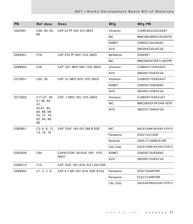| PN      | Ref desc                                                                                              | <b>Desc</b>                   | Mfg          | Mfg PN               |
|---------|-------------------------------------------------------------------------------------------------------|-------------------------------|--------------|----------------------|
| 0263901 | C48, 49, 62,                                                                                          | CAP 22 PF 50V 5% 0603         | Vitramon     | VJ0603A2220JXAAT     |
|         | 68                                                                                                    |                               | <b>NIC</b>   | NMC0603NPO220J50TR   |
|         |                                                                                                       |                               | <b>KEMET</b> | C0603C220J5GAC       |
|         |                                                                                                       |                               | <b>AVX</b>   | 06035A220JAT2A       |
| 0265901 | C76                                                                                                   | CAP 470 PF 50V 10% 0603       | NetSilicon   | 0265901              |
|         |                                                                                                       |                               | <b>NIC</b>   | NMC0603X7R471J50TRP  |
| 0268902 | C <sub>29</sub>                                                                                       | CAP .001 MFD 50V 10% 0603     | Vitramon     | VJ0603Y102KXAAT      |
|         |                                                                                                       |                               | <b>AVX</b>   | 06035C102KAT2A       |
| 0270901 | C30, 39                                                                                               | CAP .01 MFD 50V 10% 0603      | Vitramon     | VJ0603Y103KXAAT      |
|         |                                                                                                       |                               | <b>KEMET</b> | C0603C103K5RAC       |
|         |                                                                                                       |                               | <b>AVX</b>   | 06035C103KAT2A       |
| 0272903 | C17-27, 28,<br>$31-36, 40-$<br>47,<br>$50-61, 63,$<br>64, 66, 69-<br>75, 77, 79-<br>92, 94, 95,<br>96 | CAP .1 MFD 16V 10% 0603       | Vitramon     | VJ0603Y104KXJAT      |
|         |                                                                                                       |                               | <b>NIC</b>   | NMC0603X7R104K16TR   |
|         |                                                                                                       |                               | <b>AVX</b>   | 0603YC104KAT2A       |
| 0280951 | C3, 6, 8, 12,<br>13, 15, 16                                                                           | CAP 10UF 16V ELE SM B SIZE    | <b>NIC</b>   | NACE100M16V4X5.5TR13 |
|         |                                                                                                       |                               | Panasonic    | ECEV1CA100R          |
|         |                                                                                                       |                               | Nichicon     | UWX1C100MCR1GB       |
|         |                                                                                                       |                               | CAL Chip     | GACE100M16V4X5.5TR13 |
| 0282005 | C65                                                                                                   | CAPACITOR .0015uF 16V, 10%,   | <b>KEMET</b> | C0603C152K5RAC       |
|         |                                                                                                       | 0603                          | <b>AVX</b>   | 06035C152KAT2A       |
| 0285014 | C10                                                                                                   | CAP 10uF 16V 20% ELE LOW ESR  |              |                      |
| 0288002 | C1, 2, 7, 9                                                                                           | CAP 4.7 MF 25V 20% SIZE B ELE | Panasonic    | ECEV1EA4R7SR         |
|         |                                                                                                       |                               | Panasonic    | ECEV1VA4R7SR         |
|         |                                                                                                       |                               | CAL Chip     | GACE4R7M25V4X5.4TR13 |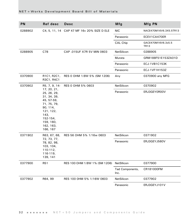| PN      | Ref desc                                                                                                                                                       | Desc                                       | Mfg                     | Mfg PN                            |
|---------|----------------------------------------------------------------------------------------------------------------------------------------------------------------|--------------------------------------------|-------------------------|-----------------------------------|
| 0288902 |                                                                                                                                                                | C4, 5, 11, 14 CAP 47 MF 16v 20% SIZE D ELE | <b>NIC</b>              | NACE470M16V6.3X5.5TR13            |
|         |                                                                                                                                                                |                                            | Panasonic               | ECEV1CA470ER                      |
|         |                                                                                                                                                                |                                            | CAL Chip                | GACE470M16V6.3x5.5<br><b>TR13</b> |
| 0288905 | C78                                                                                                                                                            | CAP .015UF X7R 5V MIN 0603                 | NetSilicon              | 0288905                           |
|         |                                                                                                                                                                |                                            | Murata                  | GRM188F51E153ZA01D                |
|         |                                                                                                                                                                |                                            | Panasonic               | <b>ECJ-1VB1C153K</b>              |
|         |                                                                                                                                                                |                                            | Panasonic               | ECJ-1VF1H153Z                     |
| 0370900 | R1C1, R2C1,<br>R3C1, R4C1                                                                                                                                      | RES 0 OHM 1/8W 5% (SM 1206)                | Any                     | 0370900 any MFG                   |
| 0370902 | R5, 7, 9, 14-                                                                                                                                                  | RES 0 OHM 5% 0603                          | NetSilicon              | 0370902                           |
|         | 17, 20, 21,<br>25, 26, 29,<br>31, 34, 39,<br>45, 57-59,<br>71, 75, 79,<br>90, 114,<br>121, 122,<br>143,<br>$152 - 154$ ,<br>159, 160,<br>162, 163,<br>166, 167 |                                            | Panasonic               | ERJ3GEY0R00V                      |
| 0371902 | R63, 67, 68,                                                                                                                                                   | RES 56 OHM 5% 1/16w 0603                   | NetSilicon              | 0371902                           |
|         | 72, 73, 77,<br>78, 82, 98,<br>103, 104,<br>110-112,<br>116-119,<br>139, 141                                                                                    |                                            | Panasonic               | ERJ3GEYJ560V                      |
| 0377900 | R51                                                                                                                                                            | RES 100 OHM 1/8W 1% (SM 1206)              | NetSllicon              | 0377900                           |
|         |                                                                                                                                                                |                                            | Tad Components,<br>Inc. | CR181000FM                        |
| 0377902 | R64, 99                                                                                                                                                        | RES 100 0HM 5% 1/16W 0603                  | NetSilicon              | 0377902                           |
|         |                                                                                                                                                                |                                            | Panasonic               | ERJ3GEYJ101V                      |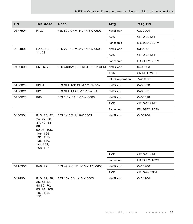| PN      | Ref desc                                                                                                                                          | <b>Desc</b>                   | Mfg                    | Mfg PN       |
|---------|---------------------------------------------------------------------------------------------------------------------------------------------------|-------------------------------|------------------------|--------------|
| 0377904 | R <sub>123</sub>                                                                                                                                  | RES 820 OHM 5% 1/16W 0603     | NetSilicon             | 0377904      |
|         |                                                                                                                                                   |                               | <b>AVX</b>             | CR10-821J-T  |
|         |                                                                                                                                                   |                               | Panasonic              | ERJ3GEYJ821V |
| 0384901 | R2-4, 6, 8,<br>11, 23                                                                                                                             | RES 220 OHM 5% 1/16W 0603     | NetSilicon             | 0384901      |
|         |                                                                                                                                                   |                               | <b>AVX</b>             | CR10-221J-T  |
|         |                                                                                                                                                   |                               | Panasonic              | ERJ3GEYJ221V |
| 0400003 | RN1-6, 2-6                                                                                                                                        | RES ARRAY (8 RESISTOR) 22 OHM | NetSilicon             | 0400003      |
|         |                                                                                                                                                   |                               | KOA                    | CN1J8TE220J  |
|         |                                                                                                                                                   |                               | <b>CTS Corporation</b> | 742C163      |
| 0400020 | RP2-4                                                                                                                                             | RES NET 10K OHM 1/16W 5%      | NetSilicon             | 0400020      |
| 0400021 | RP1                                                                                                                                               | RES NET 1K OHM 1/16W 5%       | NetSilicon             | 0400021      |
| 0400028 | R65                                                                                                                                               | RES 1.5K 5% 1/16W 0603        | NetSilicon             | 0400028      |
|         |                                                                                                                                                   |                               | AVX                    | CR10-152J-T  |
|         |                                                                                                                                                   |                               | Panasonic              | ERJ3GEYJ152V |
| 0400904 | R <sub>13</sub> , 18, 22,<br>24, 27, 30,<br>37, 40, 83-<br>88,<br>92-96, 105,<br>106, 126-<br>131, 133-<br>138, 140,<br>$144 - 147$ ,<br>156, 157 | RES 1K 5% 1/16W 0603          | NetSilicon             | 0400904      |
|         |                                                                                                                                                   |                               | AVX                    | CR10-102J-T  |
|         |                                                                                                                                                   |                               | Panasonic              | ERJ3GEYJ102V |
| 0416906 | R46, 47                                                                                                                                           | RES 49.9 OHM 1/16W 1% 0603    | NetSilicon             | 0416906      |
|         |                                                                                                                                                   |                               | AVX                    | CR10-49R9F-T |
| 0424904 | R <sub>10</sub> , 12, 28,<br>36, 41-43,<br>48-50, 70,<br>89, 91, 100,<br>107, 108,<br>132                                                         | RES 10K 5% 1/16W 0603         | NetSilicon             | 0424904      |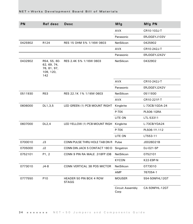| <b>PN</b> | Ref desc                                                       | Desc                                    | <b>Mfg</b>               | Mfg PN            |
|-----------|----------------------------------------------------------------|-----------------------------------------|--------------------------|-------------------|
|           |                                                                |                                         | <b>AVX</b>               | CR10-103J-T       |
|           |                                                                |                                         | Panasonic                | ERJ3GEYJ103V      |
| 0425902   | R124                                                           | RES 15 OHM 5% 1/16W 0603                | <b>NetSilicon</b>        | 0425902           |
|           |                                                                |                                         | <b>AVX</b>               | CR10-242J-T       |
|           |                                                                |                                         | Panasonic                | ERJ3GEYJ242V      |
| 0432902   | R54, 55, 60-<br>62, 69, 74,<br>76, 81, 97,<br>109, 120,<br>142 | RES 2.4K 5% 1/16W 0603                  | NetSilicon               | 0432902           |
|           |                                                                |                                         | <b>AVX</b>               | CR10-242J-T       |
|           |                                                                |                                         | Panasonic                | ERJ3GEYJ242V      |
| 0511930   | R <sub>53</sub>                                                | RES 22.1K 1% 1/16W 0603                 | NetSilicon               | 0511930           |
|           |                                                                |                                         | <b>AVX</b>               | CR10-221F-T       |
| 0606000   | DL1,3,5                                                        | LED GREEN (1) PCB MOUNT RIGHT           | Kingbrite                | L-73CB/1GDA-24    |
|           |                                                                |                                         | P-TEK                    | <b>PL506-1GRA</b> |
|           |                                                                |                                         | LITE ON                  | LTL-53311         |
| 0607000   | DL2,4                                                          | LED YELLOW (1) PCB MOUNT RIGH Kingbrite |                          | L-73CB/YDA24      |
|           |                                                                |                                         | P-TEK                    | PL506-1Y.112      |
|           |                                                                |                                         | LITE ON                  | LT553-11          |
| 0700010   | J3                                                             | CONN PULSE THRU HOLE TAB DN R Pulse     |                          | J0026D21B         |
| 0705000   | J2                                                             | CONN DIN JACK 5 CONTACT 180 D           | Singatron                | DJ-021-5P         |
| 0752101   | P1, 2                                                          | CONN 9 PIN RA MALE .318FP (DB           | NetSilicon               | 0752101           |
|           |                                                                |                                         | <b>KYCON</b>             | K22-E9P-N         |
| 0773010   | $J4-8$                                                         | CONN VERTICAL 38 POS MICTOR             | <b>NetSilicon</b>        | 0773010           |
|           |                                                                |                                         | AMP                      | 767054-1          |
| 0777550   | P10                                                            | HEADER 50 PIN BOX 4 ROW<br><b>STAGG</b> | <b>MOUSER</b>            | 554-50NFHL12GT    |
|           |                                                                |                                         | Circuit Assembly<br>Corp | CA-50NFHL-12GT    |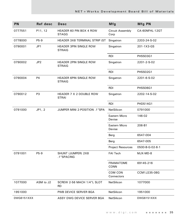| PN         | Ref desc        | Desc                                           | Mfg                             | Mfg PN          |
|------------|-----------------|------------------------------------------------|---------------------------------|-----------------|
| 0777551    | P11, 12         | <b>HEADER 60 PIN BOX 4 ROW</b><br><b>STAGG</b> | <b>Circuit Assembly</b><br>Corp | CA-60NFHL-12GT  |
| 0778000    | P5-9            | HEADER 3X8 TERMINAL STRIP (ST                  | Singatron                       | 2203-24-S-02    |
| 0790001    | JP1             | HEADER 3PIN SINGLE ROW<br><b>STRAIG</b>        | Singatron                       | 201-1X3-GS      |
|            |                 |                                                | <b>RDI</b>                      | PHSS03G1        |
| 0790002    | JP <sub>2</sub> | HEADER 2PIN SINGLE ROW<br><b>STRAIG</b>        | Singatron                       | 2201-2-S-02     |
|            |                 |                                                | <b>RDI</b>                      | PHSS02G1        |
| 0790004    | P <sub>4</sub>  | <b>HEADER 6PIN SINGLE ROW</b><br><b>STRAIG</b> | Singatron                       | 2201-6-S-02     |
|            |                 |                                                | <b>RDI</b>                      | PHSS06G1        |
| 0790012    | P <sub>3</sub>  | <b>HEADER 7 X 2 DOUBLE ROW</b><br><b>STRAI</b> | Singatron                       | 2202-14-S-02    |
|            |                 |                                                | <b>RDI</b>                      | PHDS14G1        |
| 0791000    | JP1, 2          | JUMPER MINI 2-POSITION .1"SPA                  | NetSilicon                      | 0791000         |
|            |                 |                                                | Eastern Micro<br>Devise         | 146-02          |
|            |                 |                                                | Eastern Micro<br>Devise         | 206-B1          |
|            |                 |                                                | Berg                            | 6547-004        |
|            |                 |                                                | Berg                            | 6547-005        |
|            |                 |                                                | <b>Project Resources</b>        | 0500-B-G-02-6-1 |
| 0791001    | P5-9            | SHUNT (JUMPER) 2X8<br>.1"SPACING               | <b>FAI Tech</b>                 | MJX-MD-8        |
|            |                 |                                                | <b>FRAMATOME</b><br><b>CONN</b> | 69145-216       |
|            |                 |                                                | COM CON<br>Connectors           | CCM1J235-08G    |
| 1077000    | ASM to J2       | SCREW 2-56 MACH 1/4"L SLOT<br><b>RD</b>        | NetSilicon                      | 1077000         |
| 1951000    |                 | PWB DEVICE SERVER BGA                          | <b>NetSilicon</b>               | 1951000         |
| DWG6151XXX |                 | ASSY DWG DEVICE SERVER BGA                     | NetSilicon                      | DWG6151XXX      |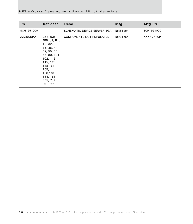| <b>PN</b>        | Ref desc                                                                                                                                                                                   | <b>Desc</b>                 | Mfg               | Mfg PN           |
|------------------|--------------------------------------------------------------------------------------------------------------------------------------------------------------------------------------------|-----------------------------|-------------------|------------------|
| SCH1951000       |                                                                                                                                                                                            | SCHEMATIC DEVICE SERVER BGA | NetSilicon        | SCH1951000       |
| <b>XXXNONPOP</b> | C67, 93;<br>FB5; J1; R1,<br>19, 32, 33,<br>35, 38, 44,<br>52, 55, 56,<br>66, 80, 101,<br>102, 113,<br>115, 125,<br>$148 - 151$ ,<br>155,<br>158,161,<br>164, 165;<br>SB5, 7, 9;<br>U16; Y2 | COMPONENTS NOT POPULATED    | <b>NetSilicon</b> | <b>XXXNONPOP</b> |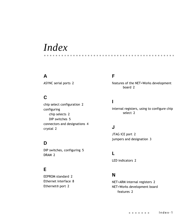# *Index*

# **A**

[ASYNC serial ports 2](#page-11-2)

# **C**

[chip select configuration 2](#page-11-3) configuring [chip selects 2](#page-11-4) [DIP switches 5](#page-14-3) [connectors and designations 4](#page-13-1) [crystal 2](#page-11-5)

# **D**

[DIP switches, configuring 5](#page-14-4) [DRAM 2](#page-11-6)

# **E**

[EEPROM standard 2](#page-11-7) [Ethernet interface 8](#page-17-1) [Ethernet® port 2](#page-11-8)

# **F**

[features of the NET+Works development](#page-11-9)  board 2

# **I**

[internal registers, using to configure chip](#page-11-10)  select 2

# **J**

[JTAG ICE port 2](#page-11-11) [jumpers and designation 3](#page-12-1)

## **L**

[LED indicators 2](#page-11-12)

# **N**

[NET+ARM internal registers 2](#page-11-13) NET+Works development board [features 2](#page-11-14)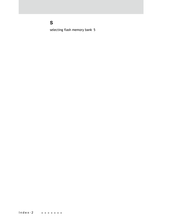# **S**

[selecting flash memory bank 5](#page-14-5)